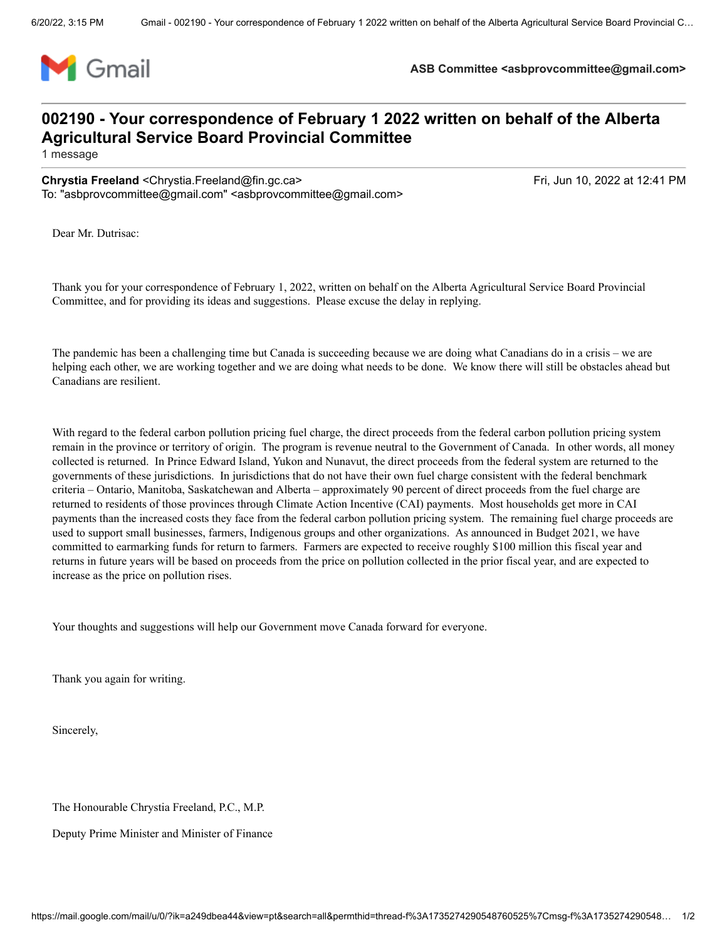

**ASB Committee <asbprovcommittee@gmail.com>**

## **002190 - Your correspondence of February 1 2022 written on behalf of the Alberta Agricultural Service Board Provincial Committee**

1 message

**Chrystia Freeland** <Chrystia.Freeland@fin.gc.ca> Frield Chrystia Freeland Chrystia Freeland Chrystia.Freeland Cfin.gc.ca> To: "asbprovcommittee@gmail.com" <asbprovcommittee@gmail.com>

Dear Mr. Dutrisac:

Thank you for your correspondence of February 1, 2022, written on behalf on the Alberta Agricultural Service Board Provincial Committee, and for providing its ideas and suggestions. Please excuse the delay in replying.

The pandemic has been a challenging time but Canada is succeeding because we are doing what Canadians do in a crisis – we are helping each other, we are working together and we are doing what needs to be done. We know there will still be obstacles ahead but Canadians are resilient.

With regard to the federal carbon pollution pricing fuel charge, the direct proceeds from the federal carbon pollution pricing system remain in the province or territory of origin. The program is revenue neutral to the Government of Canada. In other words, all money collected is returned. In Prince Edward Island, Yukon and Nunavut, the direct proceeds from the federal system are returned to the governments of these jurisdictions. In jurisdictions that do not have their own fuel charge consistent with the federal benchmark criteria – Ontario, Manitoba, Saskatchewan and Alberta – approximately 90 percent of direct proceeds from the fuel charge are returned to residents of those provinces through Climate Action Incentive (CAI) payments. Most households get more in CAI payments than the increased costs they face from the federal carbon pollution pricing system. The remaining fuel charge proceeds are used to support small businesses, farmers, Indigenous groups and other organizations. As announced in Budget 2021, we have committed to earmarking funds for return to farmers. Farmers are expected to receive roughly \$100 million this fiscal year and returns in future years will be based on proceeds from the price on pollution collected in the prior fiscal year, and are expected to increase as the price on pollution rises.

Your thoughts and suggestions will help our Government move Canada forward for everyone.

Thank you again for writing.

Sincerely,

The Honourable Chrystia Freeland, P.C., M.P.

Deputy Prime Minister and Minister of Finance